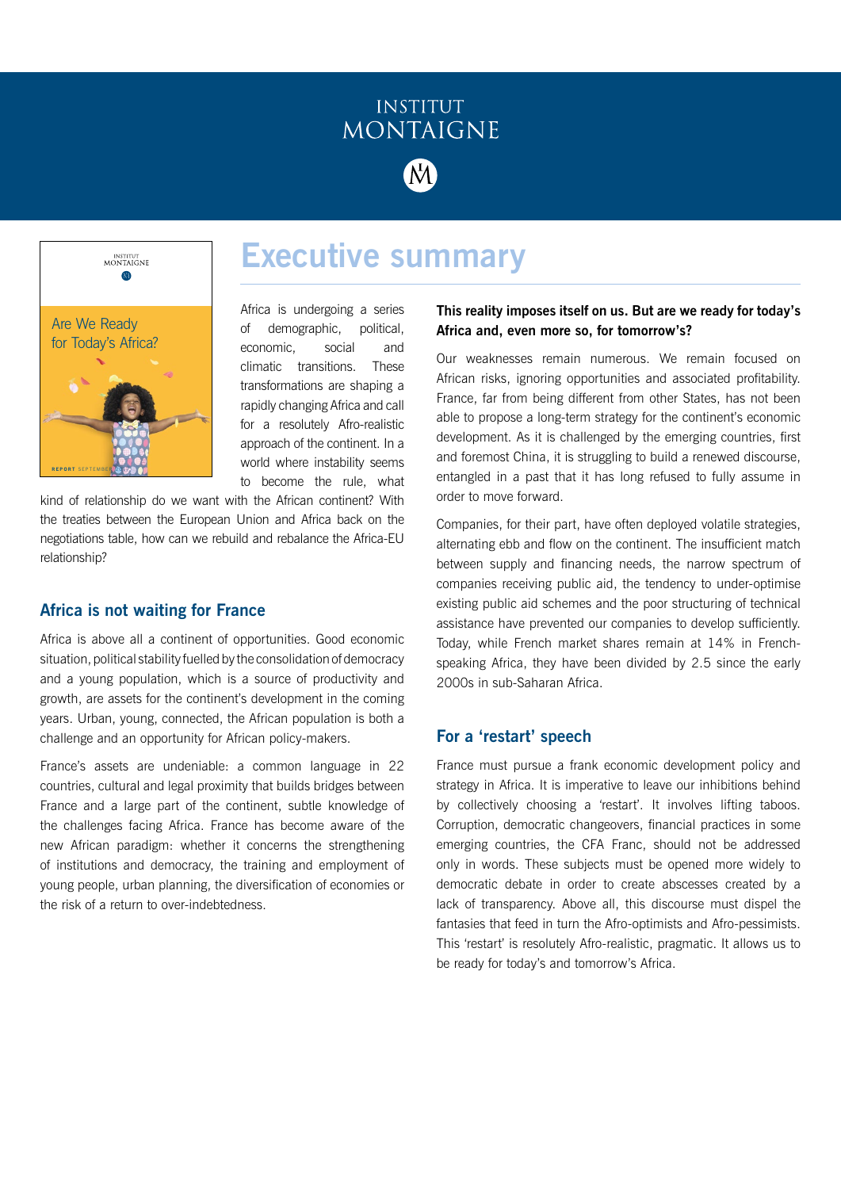

**Executive summary**



Africa is undergoing a series of demographic, political, economic, social and climatic transitions. These transformations are shaping a rapidly changing Africa and call for a resolutely Afro-realistic approach of the continent. In a world where instability seems to become the rule, what

kind of relationship do we want with the African continent? With the treaties between the European Union and Africa back on the negotiations table, how can we rebuild and rebalance the Africa-EU relationship?

## **Africa is not waiting for France**

Africa is above all a continent of opportunities. Good economic situation, political stability fuelled by the consolidation of democracy and a young population, which is a source of productivity and growth, are assets for the continent's development in the coming years. Urban, young, connected, the African population is both a challenge and an opportunity for African policy-makers.

France's assets are undeniable: a common language in 22 countries, cultural and legal proximity that builds bridges between France and a large part of the continent, subtle knowledge of the challenges facing Africa. France has become aware of the new African paradigm: whether it concerns the strengthening of institutions and democracy, the training and employment of young people, urban planning, the diversification of economies or the risk of a return to over-indebtedness.

#### **This reality imposes itself on us. But are we ready for today's Africa and, even more so, for tomorrow's?**

Our weaknesses remain numerous. We remain focused on African risks, ignoring opportunities and associated profitability. France, far from being different from other States, has not been able to propose a long-term strategy for the continent's economic development. As it is challenged by the emerging countries, first and foremost China, it is struggling to build a renewed discourse, entangled in a past that it has long refused to fully assume in order to move forward.

Companies, for their part, have often deployed volatile strategies, alternating ebb and flow on the continent. The insufficient match between supply and financing needs, the narrow spectrum of companies receiving public aid, the tendency to under-optimise existing public aid schemes and the poor structuring of technical assistance have prevented our companies to develop sufficiently. Today, while French market shares remain at 14% in Frenchspeaking Africa, they have been divided by 2.5 since the early 2000s in sub-Saharan Africa.

## **For a 'restart' speech**

France must pursue a frank economic development policy and strategy in Africa. It is imperative to leave our inhibitions behind by collectively choosing a 'restart'. It involves lifting taboos. Corruption, democratic changeovers, financial practices in some emerging countries, the CFA Franc, should not be addressed only in words. These subjects must be opened more widely to democratic debate in order to create abscesses created by a lack of transparency. Above all, this discourse must dispel the fantasies that feed in turn the Afro-optimists and Afro-pessimists. This 'restart' is resolutely Afro-realistic, pragmatic. It allows us to be ready for today's and tomorrow's Africa.